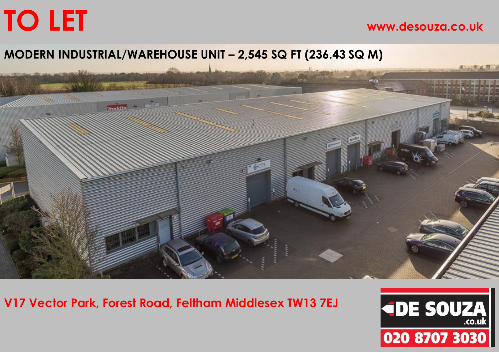# **TO LET www.desouza.co.uk**

## **MODERN INDUSTRIAL/WAREHOUSE UNIT – 2,545 SQ FT (236.43 SQ M)**



**V17 Vector Park, Forest Road, Feltham Middlesex TW13 7EJ**